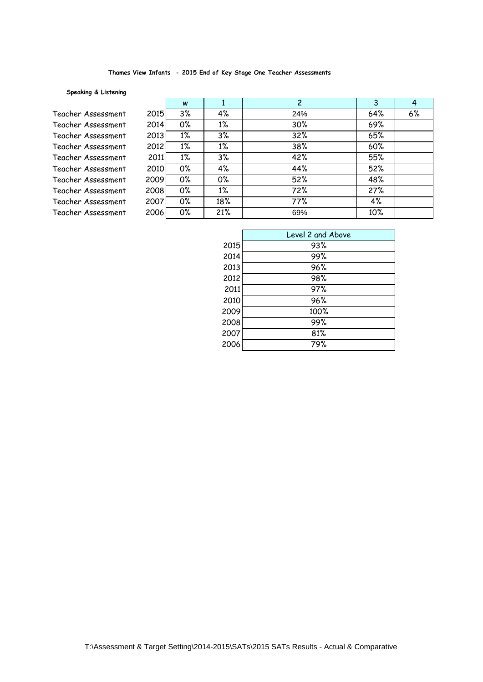#### **Thames View Infants - 2015 End of Key Stage One Teacher Assessments**

## **Speaking & Listening**

Teacher Assessment 2 Teacher Assessment 2 Teacher Assessment 2 Teacher Assessment 2 Teacher Assessment 2 Teacher Assessment 2 Teacher Assessment 20 Teacher Assessment 20 Teacher Assessment 20 Teacher Assessment 20

|      | W     |       | $\overline{2}$ | 3   | 4  |
|------|-------|-------|----------------|-----|----|
| 2015 | 3%    | 4%    | 24%            | 64% | 6% |
| 2014 | 0%    | $1\%$ | 30%            | 69% |    |
| 2013 | $1\%$ | 3%    | 32%            | 65% |    |
| 2012 | $1\%$ | $1\%$ | 38%            | 60% |    |
| 2011 | $1\%$ | 3%    | 42%            | 55% |    |
| 2010 | 0%    | 4%    | 44%            | 52% |    |
| 009  | 0%    | 0%    | 52%            | 48% |    |
| 008  | 0%    | $1\%$ | 72%            | 27% |    |
| 007  | 0%    | 18%   | 77%            | 4%  |    |
| 006  | 0%    | 21%   | 69%            | 10% |    |
|      |       |       |                |     |    |

|      | Level 2 and Above |
|------|-------------------|
| 2015 | 93%               |
| 2014 | 99%               |
| 2013 | 96%               |
| 2012 | 98%               |
| 2011 | 97%               |
| 2010 | 96%               |
| 2009 | 100%              |
| 2008 | 99%               |
| 2007 | 81%               |
| 2006 | 79%               |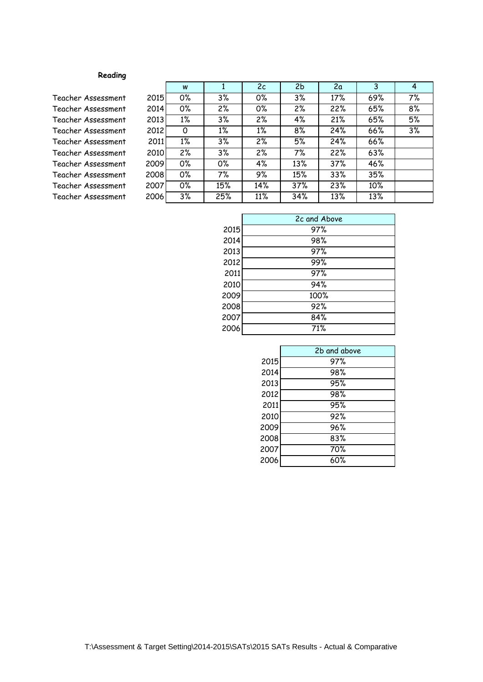# **Reading**

Teacher Assessment 2 Teacher Assessment 2 Teacher Assessment 2 Teacher Assessment 2 Teacher Assessment 2 Teacher Assessment 2 Teacher Assessment 20 Teacher Assessment 20 Teacher Assessment 20 Teacher Assessment 20

|      | W     | 1     | 2c               | 2 <sub>b</sub> | 2a  | 3   | $\overline{4}$ |
|------|-------|-------|------------------|----------------|-----|-----|----------------|
| 2015 | 0%    | 3%    | 0%               | 3%             | 17% | 69% | 7%             |
| 2014 | 0%    | 2%    | 0%               | 2%             | 22% | 65% | 8%             |
| 2013 | $1\%$ | 3%    | $\overline{2}\%$ | 4%             | 21% | 65% | 5%             |
| 2012 | 0     | $1\%$ | $1\%$            | 8%             | 24% | 66% | 3%             |
| 2011 | $1\%$ | 3%    | 2%               | 5%             | 24% | 66% |                |
| 2010 | 2%    | 3%    | 2%               | 7%             | 22% | 63% |                |
| 009  | 0%    | 0%    | 4%               | 13%            | 37% | 46% |                |
| 800! | 0%    | 7%    | 9%               | 15%            | 33% | 35% |                |
| 007  | 0%    | 15%   | 14%              | 37%            | 23% | 10% |                |
| :006 | 3%    | 25%   | 11%              | 34%            | 13% | 13% |                |

|      | 2c and Above |
|------|--------------|
| 2015 | 97%          |
| 2014 | 98%          |
| 2013 | 97%          |
| 2012 | 99%          |
| 2011 | 97%          |
| 2010 | 94%          |
| 2009 | 100%         |
| 2008 | 92%          |
| 2007 | 84%          |
| 2006 | 71%          |

|      | 2b and above |
|------|--------------|
| 2015 | 97%          |
| 2014 | 98%          |
| 2013 | 95%          |
| 2012 | 98%          |
| 2011 | 95%          |
| 2010 | 92%          |
| 2009 | 96%          |
| 2008 | 83%          |
| 2007 | 70%          |
| 2006 | 60%          |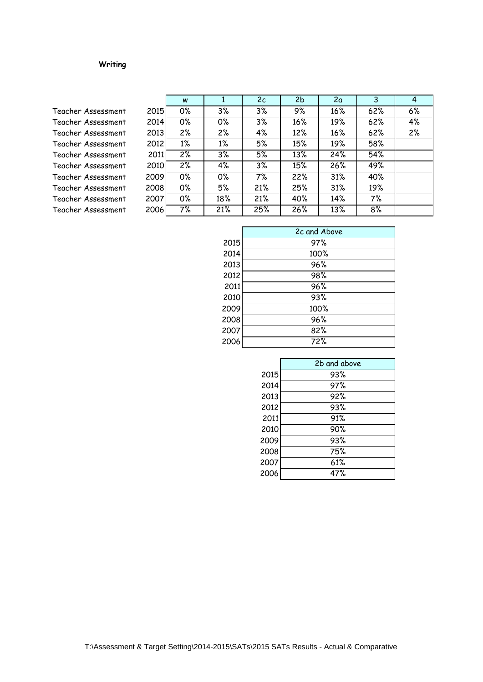# **Writing**

Teacher Assessment 2 Teacher Assessment 2 Teacher Assessment 2 Teacher Assessment 2 Teacher Assessment Teacher Assessment 2 Teacher Assessment 2 Teacher Assessment 20 Teacher Assessment 20 Teacher Assessment 20

|      | W     |                  | 2c  | 2 <sub>b</sub> | 2a  | 3   | 4  |
|------|-------|------------------|-----|----------------|-----|-----|----|
| 2015 | 0%    | 3%               | 3%  | 9%             | 16% | 62% | 6% |
| 2014 | 0%    | 0%               | 3%  | 16%            | 19% | 62% | 4% |
| 2013 | 2%    | 2%               | 4%  | 12%            | 16% | 62% | 2% |
| 2012 | $1\%$ | $1\%$            | 5%  | 15%            | 19% | 58% |    |
| 2011 | 2%    | 3%               | 5%  | 13%            | 24% | 54% |    |
| 2010 | 2%    | 4%               | 3%  | 15%            | 26% | 49% |    |
| :009 | 0%    | $\overline{0\%}$ | 7%  | 22%            | 31% | 40% |    |
| 800! | 0%    | 5%               | 21% | 25%            | 31% | 19% |    |
| :007 | 0%    | 18%              | 21% | 40%            | 14% | 7%  |    |
| :006 | 7%    | 21%              | 25% | 26%            | 13% | 8%  |    |

|      | 2c and Above |
|------|--------------|
| 2015 | 97%          |
| 2014 | 100%         |
| 2013 | 96%          |
| 2012 | 98%          |
| 2011 | 96%          |
| 2010 | 93%          |
| 2009 | 100%         |
| 2008 | 96%          |
| 2007 | 82%          |
| 2006 | 72%          |

|      | 2b and above |
|------|--------------|
| 2015 | 93%          |
| 2014 | 97%          |
| 2013 | 92%          |
| 2012 | 93%          |
| 2011 | 91%          |
| 2010 | 90%          |
| 2009 | 93%          |
| 2008 | 75%          |
| 2007 | 61%          |
| 2006 | 47%          |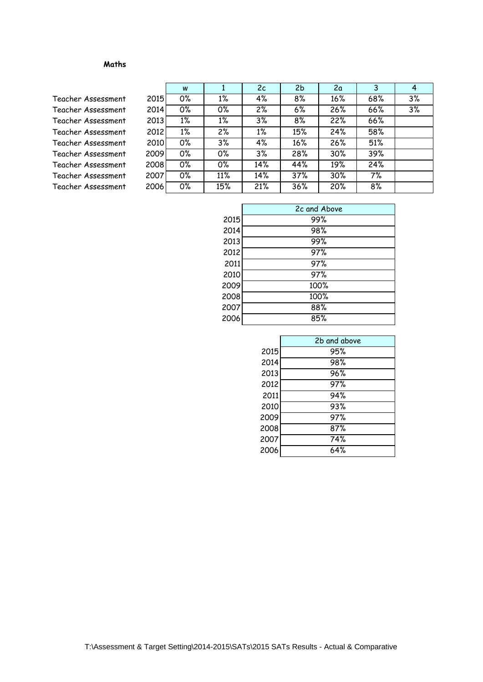### **Maths**

Teacher Assessment 2 Teacher Assessment 2014 Teacher Assessment 2013 Teacher Assessment 2 Teacher Assessment 20 Teacher Assessment 20 Teacher Assessment 20 Teacher Assessment 20 Teacher Assessment 20

|     | W     |       | 2c    | 2 <sub>b</sub> | 2a  | 3   | 4  |
|-----|-------|-------|-------|----------------|-----|-----|----|
| 015 | 0%    | $1\%$ | 4%    | 8%             | 16% | 68% | 3% |
| 014 | 0%    | 0%    | 2%    | 6%             | 26% | 66% | 3% |
| 013 | $1\%$ | $1\%$ | 3%    | 8%             | 22% | 66% |    |
| 012 | $1\%$ | 2%    | $1\%$ | 15%            | 24% | 58% |    |
| 010 | 0%    | 3%    | 4%    | 16%            | 26% | 51% |    |
| 009 | 0%    | 0%    | 3%    | 28%            | 30% | 39% |    |
| 008 | 0%    | 0%    | 14%   | 44%            | 19% | 24% |    |
| 007 | 0%    | 11%   | 14%   | 37%            | 30% | 7%  |    |
| 006 | 0%    | 15%   | 21%   | 36%            | 20% | 8%  |    |

| 2c and Above |
|--------------|
| 99%          |
| 98%          |
| 99%          |
| 97%          |
| 97%          |
| 97%          |
| 100%         |
| 100%         |
| 88%          |
| 85%          |
|              |

| 2b and above |
|--------------|
| 95%          |
| 98%          |
| 96%          |
| 97%          |
| 94%          |
| 93%          |
| 97%          |
| 87%          |
| 74%          |
| 64%          |
|              |